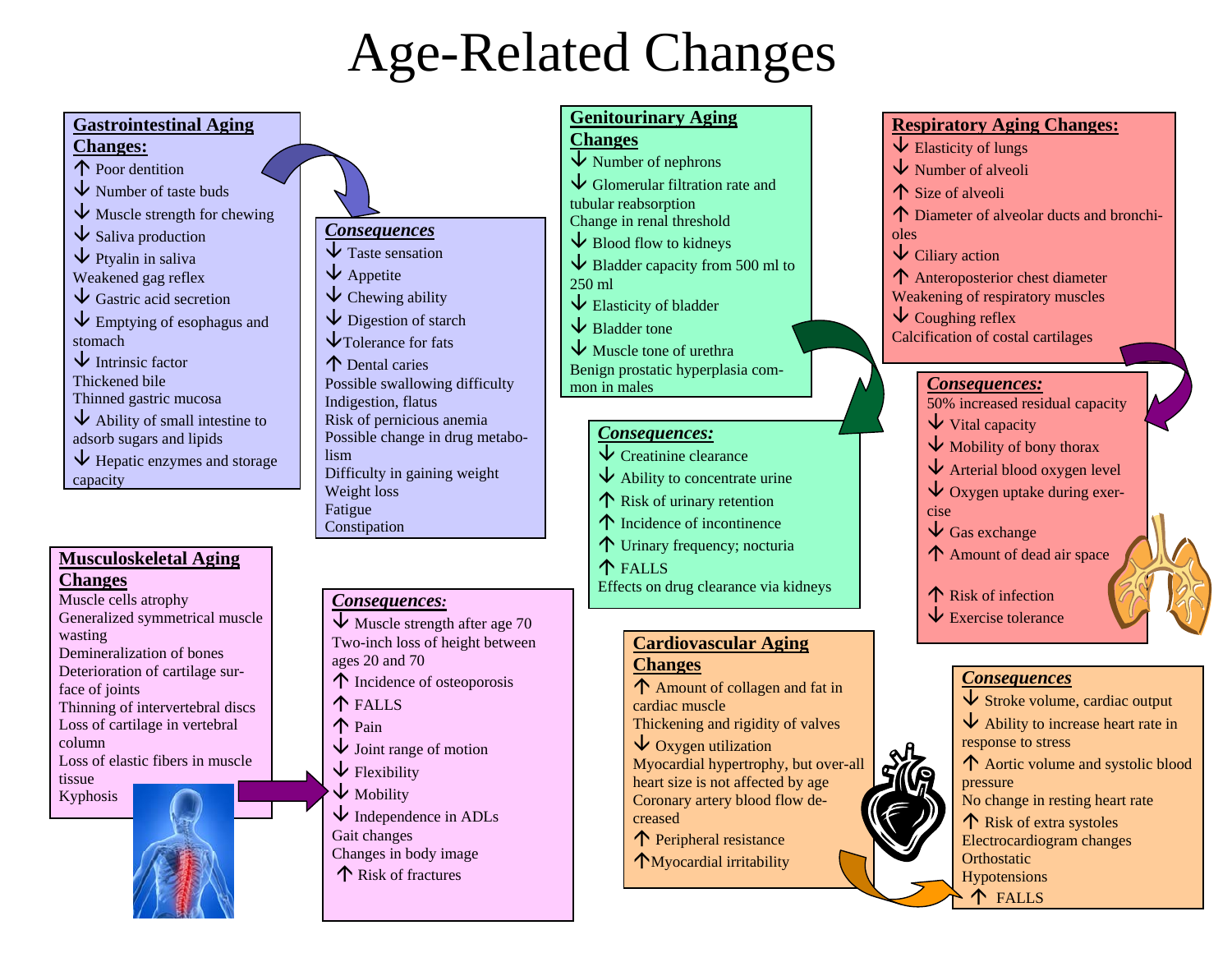## Age-Related Changes



Effects on drug clearance via kidneys

**Cardiovascular Aging** 

Amount of collagen and fat in

Thickening and rigidity of valves

Myocardial hypertrophy, but over-all heart size is not affected by age Coronary artery blood flow de-

**Changes**

creased

cardiac muscle

 $\overline{\mathsf{V}}$  Oxygen utilization

↑ Peripheral resistance Myocardial irritability

#### **Changes**

Muscle cells atrophy Generalized symmetrical muscle wasting Demineralization of bones Deterioration of cartilage surface of joints Thinning of intervertebral discs Loss of cartilage in vertebral column Loss of elastic fibers in muscle tissue Kyphosis

#### *Consequences:*

- $\overline{\mathsf{V}}$  Muscle strength after age 70 Two-inch loss of height between ages 20 and 70 Incidence of osteoporosis FALLS Pain  $\overline{\mathsf{V}}$  Joint range of motion  $\overline{\mathsf{V}}$  Flexibility
- $\downarrow$  Mobility
- $\overline{\mathsf{V}}$  Independence in ADLs Gait changes Changes in body image

Risk of fractures

 $\overline{\mathsf{V}}$  Exercise tolerance

### *Consequences*

**T** Risk of infection

**T** FALLS